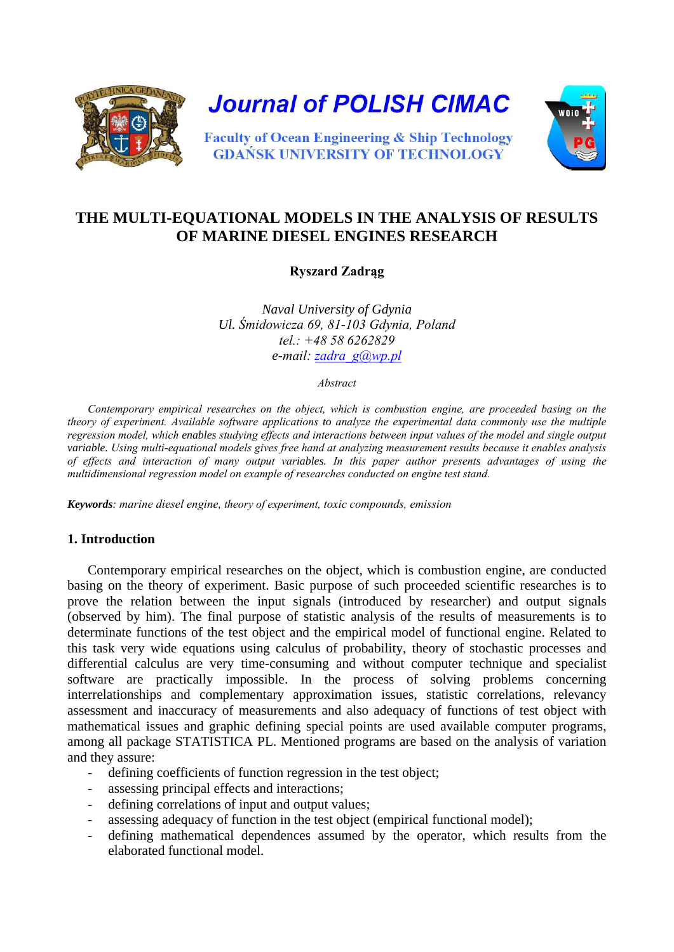

**Journal of POLISH CIMAC** 



**Faculty of Ocean Engineering & Ship Technology GDAŃSK UNIVERSITY OF TECHNOLOGY** 

# **THE MULTI-EQUATIONAL MODELS IN THE ANALYSIS OF RESULTS OF MARINE DIESEL ENGINES RESEARCH**

**Ryszard Zadrąg**

*Naval University of Gdynia Ul. Śmidowicza 69, 81-103 Gdynia, Poland tel.: +48 58 6262829 e-mail: [zadra\\_g@wp.pl](mailto:zadra_g@wp.pl)*

*Abstract* 

*Contemporary empirical researches on the object, which is combustion engine, are proceeded basing on the theory of experiment. Available software applications to analyze the experimental data commonly use the multiple regression model, which enables studying effects and interactions between input values of the model and single output variable. Using multi-equational models gives free hand at analyzing measurement results because it enables analysis of effects and interaction of many output variables. In this paper author presents advantages of using the multidimensional regression model on example of researches conducted on engine test stand.* 

*Keywords: marine diesel engine, theory of experiment, toxic compounds, emission*

#### **1. Introduction**

Contemporary empirical researches on the object, which is combustion engine, are conducted basing on the theory of experiment. Basic purpose of such proceeded scientific researches is to prove the relation between the input signals (introduced by researcher) and output signals (observed by him). The final purpose of statistic analysis of the results of measurements is to determinate functions of the test object and the empirical model of functional engine. Related to this task very wide equations using calculus of probability, theory of stochastic processes and differential calculus are very time-consuming and without computer technique and specialist software are practically impossible. In the process of solving problems concerning interrelationships and complementary approximation issues, statistic correlations, relevancy assessment and inaccuracy of measurements and also adequacy of functions of test object with mathematical issues and graphic defining special points are used available computer programs, among all package STATISTICA PL. Mentioned programs are based on the analysis of variation and they assure:

- defining coefficients of function regression in the test object;
- assessing principal effects and interactions:
- defining correlations of input and output values;
- assessing adequacy of function in the test object (empirical functional model);
- defining mathematical dependences assumed by the operator, which results from the elaborated functional model.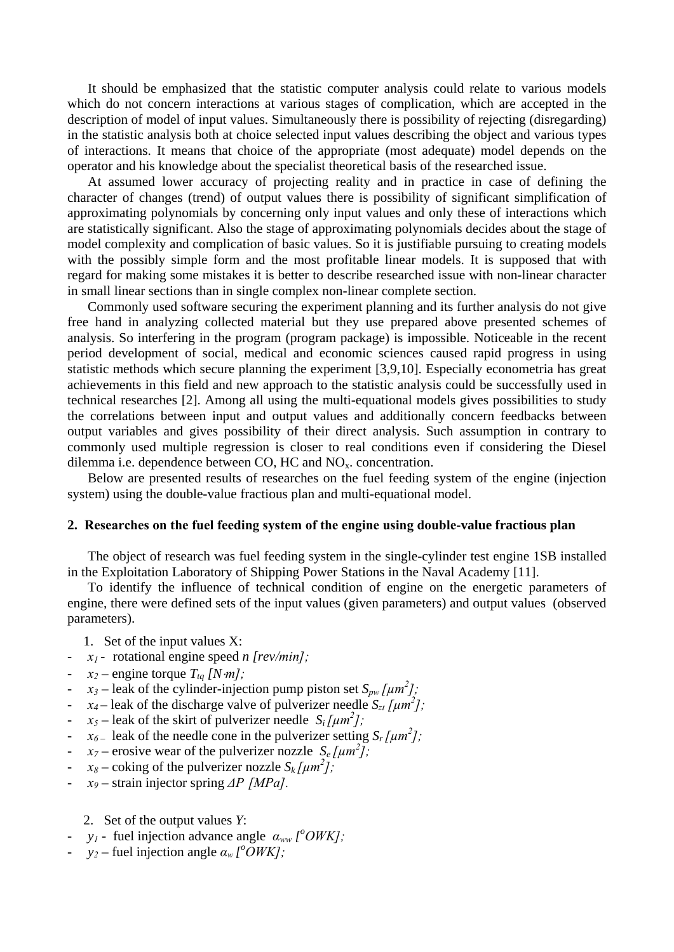It should be emphasized that the statistic computer analysis could relate to various models which do not concern interactions at various stages of complication, which are accepted in the description of model of input values. Simultaneously there is possibility of rejecting (disregarding) in the statistic analysis both at choice selected input values describing the object and various types of interactions. It means that choice of the appropriate (most adequate) model depends on the operator and his knowledge about the specialist theoretical basis of the researched issue.

At assumed lower accuracy of projecting reality and in practice in case of defining the character of changes (trend) of output values there is possibility of significant simplification of approximating polynomials by concerning only input values and only these of interactions which are statistically significant. Also the stage of approximating polynomials decides about the stage of model complexity and complication of basic values. So it is justifiable pursuing to creating models with the possibly simple form and the most profitable linear models. It is supposed that with regard for making some mistakes it is better to describe researched issue with non-linear character in small linear sections than in single complex non-linear complete section.

Commonly used software securing the experiment planning and its further analysis do not give free hand in analyzing collected material but they use prepared above presented schemes of analysis. So interfering in the program (program package) is impossible. Noticeable in the recent period development of social, medical and economic sciences caused rapid progress in using statistic methods which secure planning the experiment [3,9,10]. Especially econometria has great achievements in this field and new approach to the statistic analysis could be successfully used in technical researches [2]. Among all using the multi-equational models gives possibilities to study the correlations between input and output values and additionally concern feedbacks between output variables and gives possibility of their direct analysis. Such assumption in contrary to commonly used multiple regression is closer to real conditions even if considering the Diesel dilemma i.e. dependence between CO, HC and  $NO<sub>x</sub>$ . concentration.

Below are presented results of researches on the fuel feeding system of the engine (injection system) using the double-value fractious plan and multi-equational model.

#### **2. Researches on the fuel feeding system of the engine using double-value fractious plan**

The object of research was fuel feeding system in the single-cylinder test engine 1SB installed in the Exploitation Laboratory of Shipping Power Stations in the Naval Academy [11].

To identify the influence of technical condition of engine on the energetic parameters of engine, there were defined sets of the input values (given parameters) and output values (observed parameters).

- 1. Set of the input values X:
- *x1* rotational engine speed *n [rev/min];*
- $x_2$  engine torque  $T_{tq}$  [N·*m*];
- $\cdot$  *x*<sub>3</sub> leak of the cylinder-injection pump piston set  $S_{pw}$  [ $\mu$ m<sup>2</sup>];
- $x_4$  leak of the discharge valve of pulverizer needle  $S_{zt}$  [ $\mu m^2$ ];
- $x_5$  leak of the skirt of pulverizer needle  $S_i$  [ $\mu$ m<sup>2</sup>];
- *-*  $x_{6-}$  leak of the needle cone in the pulverizer setting  $S_r \left[ \mu m^2 \right]$ ;
- $x_7$  erosive wear of the pulverizer nozzle  $S_e$  [ $\mu$ m<sup>2</sup>];
- $x_8$  coking of the pulverizer nozzle  $S_k \left[ \mu m^2 \right]$ ;
- *x9 –* strain injector spring *ΔP [MPa].*
	- 2. Set of the output values *Y*:
- *y<sub>1</sub>* fuel injection advance angle  $\alpha_{ww}$  [<sup>o</sup>OWK];
- $y_2$  fuel injection angle  $\alpha_w \cdot \alpha_w$  *(<sup>o</sup>OWK]*;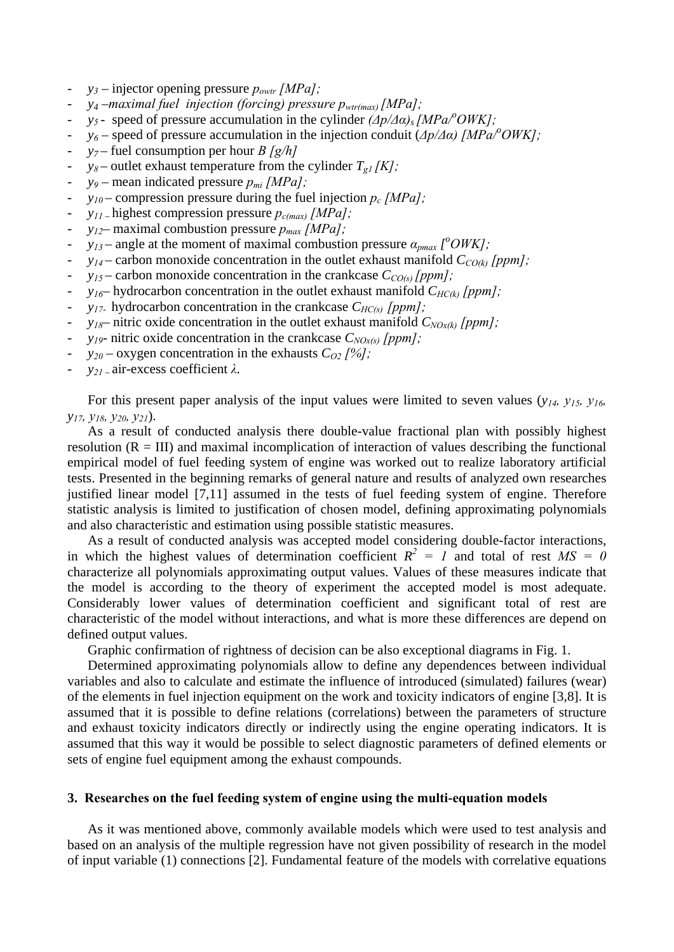- *y3* injector opening pressure *powtr [MPa];*
- *y4 –maximal fuel injection (forcing) pressure pwtr(max) [MPa];*
- *y5* speed of pressure accumulation in the cylinder *(Δp/Δα)s [MPa/<sup>o</sup> OWK];*
- *y6* speed of pressure accumulation in the injection conduit (*Δp/Δα) [MPa/<sup>o</sup> OWK];*
- $y_7$  fuel consumption per hour *B* [g/h]
- $y_8$  outlet exhaust temperature from the cylinder  $T_{g1}/K$ *]*;
- *y9* mean indicated pressure *pmi [MPa];*
- *y10* compression pressure during the fuel injection *pc [MPa];*
- *y11* highest compression pressure *pc(max) [MPa];*
- *y12* maximal combustion pressure *pmax [MPa];*
- $\cdot$  *y*<sub>13</sub> angle at the moment of maximal combustion pressure  $\alpha_{pmax}$  [<sup>o</sup>OWK];
- $y_{14}$  carbon monoxide concentration in the outlet exhaust manifold  $C_{CO(k)}$  [ppm];
- $y_{15}$  carbon monoxide concentration in the crankcase  $C_{CO(s)}$  [ppm];
- $y_{16}$  hydrocarbon concentration in the outlet exhaust manifold  $C_{HC(k)}$  [ppm];
- *y17* hydrocarbon concentration in the crankcase *CHC(s) [ppm];*
- $y_{18}$  nitric oxide concentration in the outlet exhaust manifold  $C_{NOx(k)}$  [ppm];
- *y19* nitric oxide concentration in the crankcase *CNOx(s) [ppm];*
- $y_{20}$  oxygen concentration in the exhausts  $C_{O2}$  [%];
- *y21* air-excess coefficient *λ.*

For this present paper analysis of the input values were limited to seven values (*y14, y15, y16, y17, y18, y20, y21*).

As a result of conducted analysis there double-value fractional plan with possibly highest resolution  $(R = III)$  and maximal incomplication of interaction of values describing the functional empirical model of fuel feeding system of engine was worked out to realize laboratory artificial tests. Presented in the beginning remarks of general nature and results of analyzed own researches justified linear model [7,11] assumed in the tests of fuel feeding system of engine. Therefore statistic analysis is limited to justification of chosen model, defining approximating polynomials and also characteristic and estimation using possible statistic measures.

As a result of conducted analysis was accepted model considering double-factor interactions, in which the highest values of determination coefficient  $R^2 = I$  and total of rest  $MS = 0$ characterize all polynomials approximating output values. Values of these measures indicate that the model is according to the theory of experiment the accepted model is most adequate. Considerably lower values of determination coefficient and significant total of rest are characteristic of the model without interactions, and what is more these differences are depend on defined output values.

Graphic confirmation of rightness of decision can be also exceptional diagrams in Fig. 1.

Determined approximating polynomials allow to define any dependences between individual variables and also to calculate and estimate the influence of introduced (simulated) failures (wear) of the elements in fuel injection equipment on the work and toxicity indicators of engine [3,8]. It is assumed that it is possible to define relations (correlations) between the parameters of structure and exhaust toxicity indicators directly or indirectly using the engine operating indicators. It is assumed that this way it would be possible to select diagnostic parameters of defined elements or sets of engine fuel equipment among the exhaust compounds.

#### **3. Researches on the fuel feeding system of engine using the multi-equation models**

 As it was mentioned above, commonly available models which were used to test analysis and based on an analysis of the multiple regression have not given possibility of research in the model of input variable (1) connections [2]. Fundamental feature of the models with correlative equations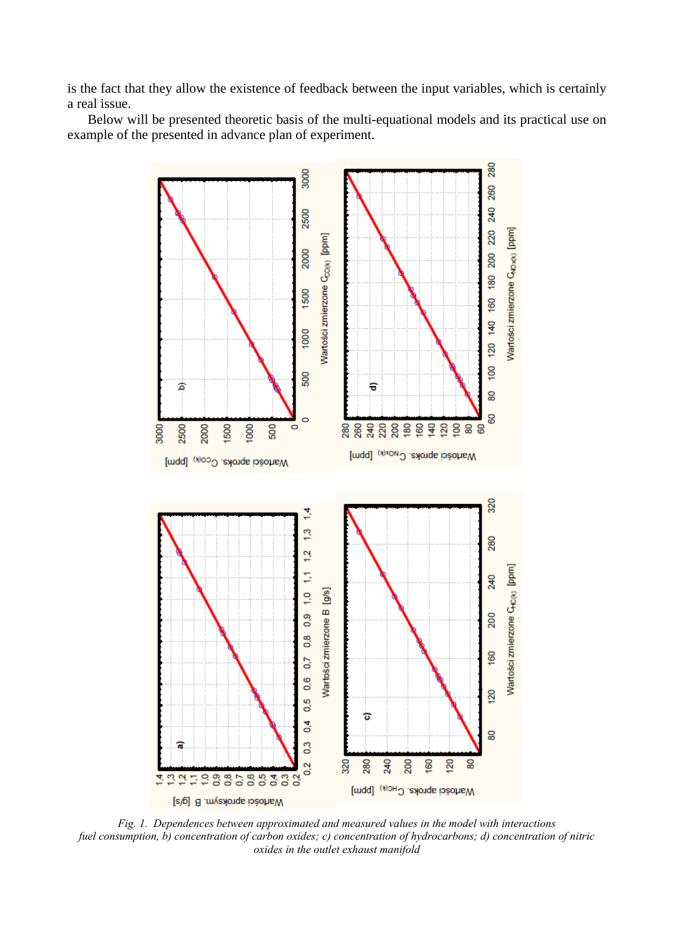is the fact that they allow the existence of feedback between the input variables, which is certainly a real issue.

Below will be presented theoretic basis of the multi-equational models and its practical use on example of the presented in advance plan of experiment.



*Fig. 1. Dependences between approximated and measured values in the model with interactions fuel consumption, b) concentration of carbon oxides; c) concentration of hydrocarbons; d) concentration of nitric oxides in the outlet exhaust manifold*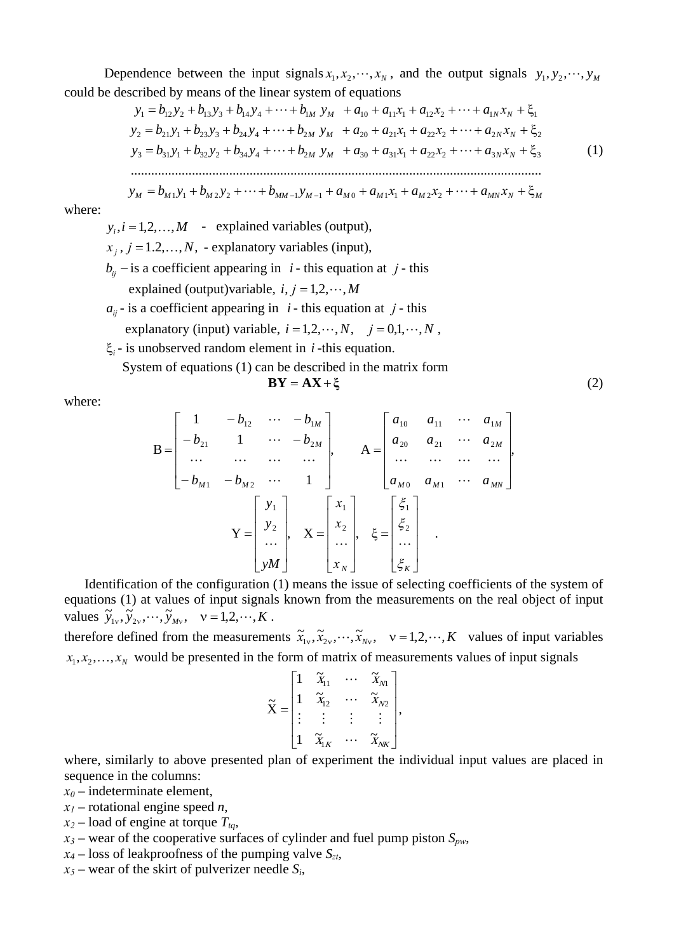Dependence between the input signals  $x_1, x_2, \dots, x_N$ , and the output signals  $y_1, y_2, \dots, y_M$ could be described by means of the linear system of equations

$$
y_{1} = b_{12}y_{2} + b_{13}y_{3} + b_{14}y_{4} + \dots + b_{1M} y_{M} + a_{10} + a_{11}x_{1} + a_{12}x_{2} + \dots + a_{1N}x_{N} + \xi_{1}
$$
  
\n
$$
y_{2} = b_{21}y_{1} + b_{23}y_{3} + b_{24}y_{4} + \dots + b_{2M} y_{M} + a_{20} + a_{21}x_{1} + a_{22}x_{2} + \dots + a_{2N}x_{N} + \xi_{2}
$$
  
\n
$$
y_{3} = b_{31}y_{1} + b_{32}y_{2} + b_{34}y_{4} + \dots + b_{2M} y_{M} + a_{30} + a_{31}x_{1} + a_{22}x_{2} + \dots + a_{3N}x_{N} + \xi_{3}
$$
  
\n
$$
\dots
$$
  
\n
$$
y_{M} = b_{M1}y_{1} + b_{M2}y_{2} + \dots + b_{MM-1}y_{M-1} + a_{M0} + a_{M1}x_{1} + a_{M2}x_{2} + \dots + a_{MN}x_{N} + \xi_{M}
$$
  
\n(1)

where:

 $y_i$ ,  $i = 1, 2, \ldots, M$  - explained variables (output),  $x_i$ ,  $j = 1, 2, \ldots, N$ , - explanatory variables (input),  $b_{ii}$  − is a coefficient appearing in *i* - this equation at *j* - this explained (output)variable,  $i, j = 1, 2, \dots, M$  $a_{ii}$  - is a coefficient appearing in *i* - this equation at *j* - this

- explanatory (input) variable,  $i = 1, 2, \dots, N$ ,  $j = 0, 1, \dots, N$ ,
- ξ<sub>*i*</sub> is unobserved random element in *i* -this equation.

System of equations (1) can be described in the matrix form

$$
BY = AX + \xi
$$
 (2)

where:

$$
B = \begin{bmatrix} 1 & -b_{12} & \cdots & -b_{1M} \\ -b_{21} & 1 & \cdots & -b_{2M} \\ \cdots & \cdots & \cdots & \cdots \\ -b_{M1} & -b_{M2} & \cdots & 1 \end{bmatrix}, \quad A = \begin{bmatrix} a_{10} & a_{11} & \cdots & a_{1M} \\ a_{20} & a_{21} & \cdots & a_{2M} \\ \cdots & \cdots & \cdots & \cdots \\ a_{M0} & a_{M1} & \cdots & a_{MN} \end{bmatrix},
$$

$$
Y = \begin{bmatrix} y_1 \\ y_2 \\ \cdots \\ y_M \end{bmatrix}, \quad X = \begin{bmatrix} x_1 \\ x_2 \\ \cdots \\ x_N \end{bmatrix}, \quad \xi = \begin{bmatrix} \xi_1 \\ \xi_2 \\ \vdots \\ \xi_K \end{bmatrix}.
$$

 Identification of the configuration (1) means the issue of selecting coefficients of the system of equations (1) at values of input signals known from the measurements on the real object of input values  $\widetilde{y}_{1v}, \widetilde{y}_{2v}, \cdots, \widetilde{y}_{Mv}, v = 1, 2, \cdots, K$ .

therefore defined from the measurements  $\tilde{x}_{1v}, \tilde{x}_{2v}, \dots, \tilde{x}_{Nv}$ ,  $v = 1, 2, \dots, K$  values of input variables  $x_1, x_2, \ldots, x_N$  would be presented in the form of matrix of measurements values of input signals

$$
\widetilde{\mathbf{X}} = \begin{bmatrix} 1 & \widetilde{x}_{11} & \cdots & \widetilde{x}_{N1} \\ 1 & \widetilde{x}_{12} & \cdots & \widetilde{x}_{N2} \\ \vdots & \vdots & \vdots & \vdots \\ 1 & \widetilde{x}_{1K} & \cdots & \widetilde{x}_{NK} \end{bmatrix},
$$

where, similarly to above presented plan of experiment the individual input values are placed in sequence in the columns:

- $x_0$  indeterminate element,
- *x1* rotational engine speed *n*,
- $x_2$  load of engine at torque  $T_{ta}$ ,
- $x_3$  wear of the cooperative surfaces of cylinder and fuel pump piston  $S_{pw}$ ,
- $x_4$  loss of leakproofness of the pumping valve  $S_{zt}$ ,
- $x_5$  wear of the skirt of pulverizer needle  $S_i$ ,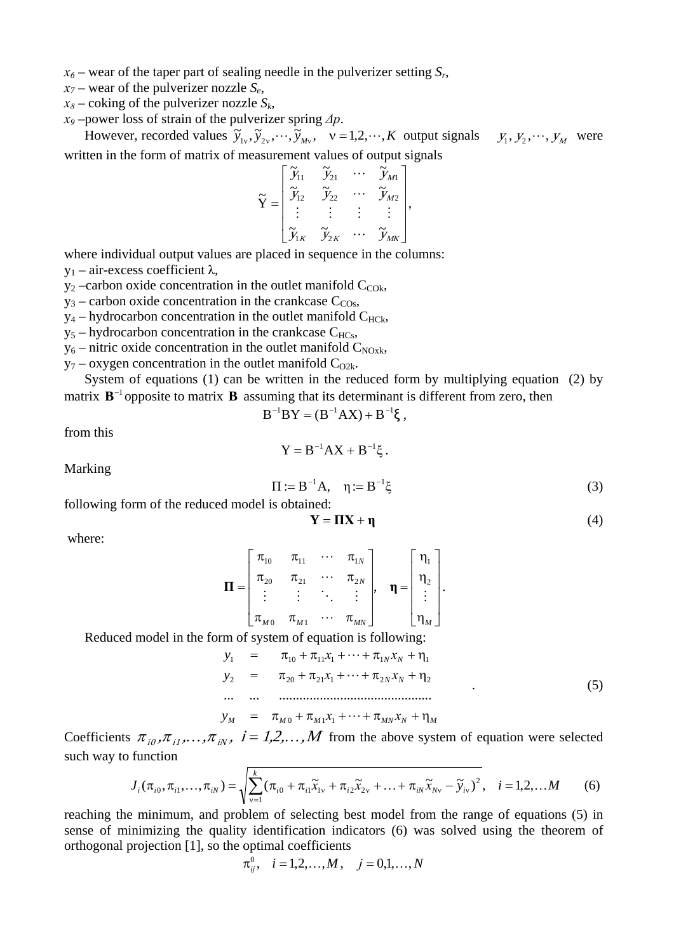- $x_6$  wear of the taper part of sealing needle in the pulverizer setting  $S_r$ ,
- $x_7$  wear of the pulverizer nozzle  $S_e$ ,
- $x_8$  coking of the pulverizer nozzle  $S_k$ ,
- *x9* –power loss of strain of the pulverizer spring *Δp*.

However, recorded values  $\tilde{y}_1, \tilde{y}_2, \dots, \tilde{y}_M, \quad v = 1, 2, \dots, K$  output signals  $y_1, y_2, \dots, y_M$  were written in the form of matrix of measurement values of output signals

$$
\widetilde{\mathbf{Y}} = \begin{bmatrix} \widetilde{y}_{11} & \widetilde{y}_{21} & \cdots & \widetilde{y}_{M1} \\ \widetilde{y}_{12} & \widetilde{y}_{22} & \cdots & \widetilde{y}_{M2} \\ \vdots & \vdots & \vdots & \vdots \\ \widetilde{y}_{1K} & \widetilde{y}_{2K} & \cdots & \widetilde{y}_{MK} \end{bmatrix},
$$

where individual output values are placed in sequence in the columns:  $y_1$  – air-excess coefficient λ,

 $y_2$  –carbon oxide concentration in the outlet manifold  $C_{\text{COk}}$ ,

- $y_3$  carbon oxide concentration in the crankcase  $C_{\text{COs}}$ ,
- $y_4$  hydrocarbon concentration in the outlet manifold  $C_{HCk}$ ,
- $y_5$  hydrocarbon concentration in the crankcase  $C_{HCs}$ ,
- $y_6$  nitric oxide concentration in the outlet manifold  $C_{NOX}$ ,
- $y_7$  oxygen concentration in the outlet manifold  $C_{O2k}$ .

System of equations (1) can be written in the reduced form by multiplying equation (2) by matrix  $\mathbf{B}^{-1}$  opposite to matrix  $\mathbf{B}$  assuming that its determinant is different from zero, then

$$
B^{-1}BY = (B^{-1}AX) + B^{-1}\xi ,
$$

from this

$$
Y=B^{-1}AX+B^{-1}\xi.
$$

Marking

$$
\Pi := B^{-1}A, \quad \eta := B^{-1}\xi
$$
 (3)

following form of the reduced model is obtained:

$$
\mathbf{Y} = \mathbf{\Pi} \mathbf{X} + \mathbf{\eta} \tag{4}
$$

where:

$$
\mathbf{\Pi} = \begin{bmatrix} \pi_{10} & \pi_{11} & \cdots & \pi_{1N} \\ \pi_{20} & \pi_{21} & \cdots & \pi_{2N} \\ \vdots & \vdots & \ddots & \vdots \\ \pi_{M0} & \pi_{M1} & \cdots & \pi_{MN} \end{bmatrix}, \quad \mathbf{\eta} = \begin{bmatrix} \eta_1 \\ \eta_2 \\ \vdots \\ \eta_M \end{bmatrix}.
$$

Reduced model in the form of system of equation is following:

$$
y_1 = \pi_{10} + \pi_{11}x_1 + \dots + \pi_{1N}x_N + \eta_1
$$
  
\n
$$
y_2 = \pi_{20} + \pi_{21}x_1 + \dots + \pi_{2N}x_N + \eta_2
$$
  
\n... ... (5)

$$
y_M = \pi_{M0} + \pi_{M1} x_1 + \dots + \pi_{MN} x_N + \eta_M
$$

Coefficients  $\pi_{i0}, \pi_{i1}, \dots, \pi_{iN}$ ,  $i = 1, 2, \dots, M$  from the above system of equation were selected such way to function

$$
J_i(\pi_{i0}, \pi_{i1}, \dots, \pi_{iN}) = \sqrt{\sum_{v=1}^k (\pi_{i0} + \pi_{i1}\widetilde{x}_{1v} + \pi_{i2}\widetilde{x}_{2v} + \dots + \pi_{iN}\widetilde{x}_{Nv} - \widetilde{y}_{iV})^2}, \quad i = 1, 2, \dots M
$$
 (6)

reaching the minimum, and problem of selecting best model from the range of equations (5) in sense of minimizing the quality identification indicators (6) was solved using the theorem of orthogonal projection [1], so the optimal coefficients

$$
\pi_{ij}^0
$$
,  $i = 1, 2, ..., M$ ,  $j = 0, 1, ..., N$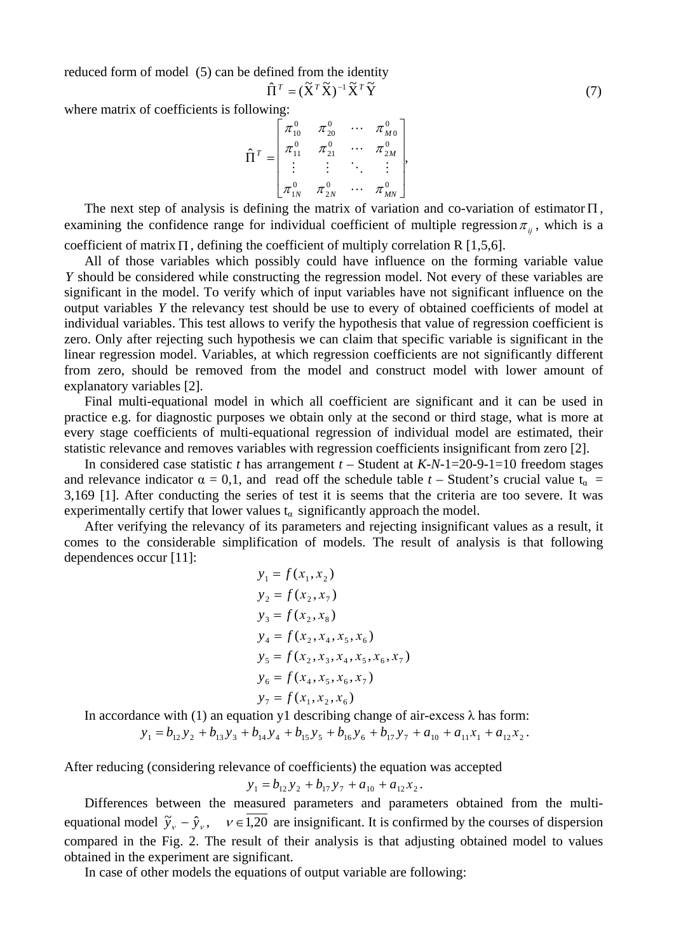reduced form of model (5) can be defined from the identity

$$
\hat{\Pi}^T = (\tilde{\mathbf{X}}^T \tilde{\mathbf{X}})^{-1} \tilde{\mathbf{X}}^T \tilde{\mathbf{Y}} \tag{7}
$$

where matrix of coefficients is following:

$$
\hat{\Pi}^{T} = \begin{bmatrix} \pi_{10}^{0} & \pi_{20}^{0} & \cdots & \pi_{M0}^{0} \\ \pi_{11}^{0} & \pi_{21}^{0} & \cdots & \pi_{2M}^{0} \\ \vdots & \vdots & \ddots & \vdots \\ \pi_{1N}^{0} & \pi_{2N}^{0} & \cdots & \pi_{MN}^{0} \end{bmatrix},
$$

The next step of analysis is defining the matrix of variation and co-variation of estimator  $\Pi$ , examining the confidence range for individual coefficient of multiple regression  $\pi_{ij}$ , which is a coefficient of matrix  $\Pi$ , defining the coefficient of multiply correlation R [1,5,6].

 All of those variables which possibly could have influence on the forming variable value *Y* should be considered while constructing the regression model. Not every of these variables are significant in the model. To verify which of input variables have not significant influence on the output variables *Y* the relevancy test should be use to every of obtained coefficients of model at individual variables. This test allows to verify the hypothesis that value of regression coefficient is zero. Only after rejecting such hypothesis we can claim that specific variable is significant in the linear regression model. Variables, at which regression coefficients are not significantly different from zero, should be removed from the model and construct model with lower amount of explanatory variables [2].

 Final multi-equational model in which all coefficient are significant and it can be used in practice e.g. for diagnostic purposes we obtain only at the second or third stage, what is more at every stage coefficients of multi-equational regression of individual model are estimated, their statistic relevance and removes variables with regression coefficients insignificant from zero [2].

In considered case statistic *t* has arrangement  $t -$  Student at  $K-N-1=20-9-1=10$  freedom stages and relevance indicator  $\alpha = 0.1$ , and read off the schedule table  $t -$  Student's crucial value  $t_{\alpha}$ 3,169 [1]. After conducting the series of test it is seems that the criteria are too severe. It was experimentally certify that lower values  $t_{\alpha}$  significantly approach the model.

After verifying the relevancy of its parameters and rejecting insignificant values as a result, it comes to the considerable simplification of models. The result of analysis is that following dependences occur [11]:

$$
y_1 = f(x_1, x_2)
$$
  
\n
$$
y_2 = f(x_2, x_7)
$$
  
\n
$$
y_3 = f(x_2, x_8)
$$
  
\n
$$
y_4 = f(x_2, x_4, x_5, x_6)
$$
  
\n
$$
y_5 = f(x_2, x_3, x_4, x_5, x_6, x_7)
$$
  
\n
$$
y_6 = f(x_4, x_5, x_6, x_7)
$$
  
\n
$$
y_7 = f(x_1, x_2, x_6)
$$

In accordance with (1) an equation y1 describing change of air-excess  $\lambda$  has form:

$$
y_1 = b_{12}y_2 + b_{13}y_3 + b_{14}y_4 + b_{15}y_5 + b_{16}y_6 + b_{17}y_7 + a_{10} + a_{11}x_1 + a_{12}x_2.
$$

After reducing (considering relevance of coefficients) the equation was accepted

$$
y_1 = b_{12} y_2 + b_{17} y_7 + a_{10} + a_{12} x_2.
$$

Differences between the measured parameters and parameters obtained from the multiequational model  $\tilde{y}_y - \hat{y}_y$ ,  $v \in 1,20$  are insignificant. It is confirmed by the courses of dispersion compared in the Fig. 2. The result of their analysis is that adjusting obtained model to values obtained in the experiment are significant.

In case of other models the equations of output variable are following: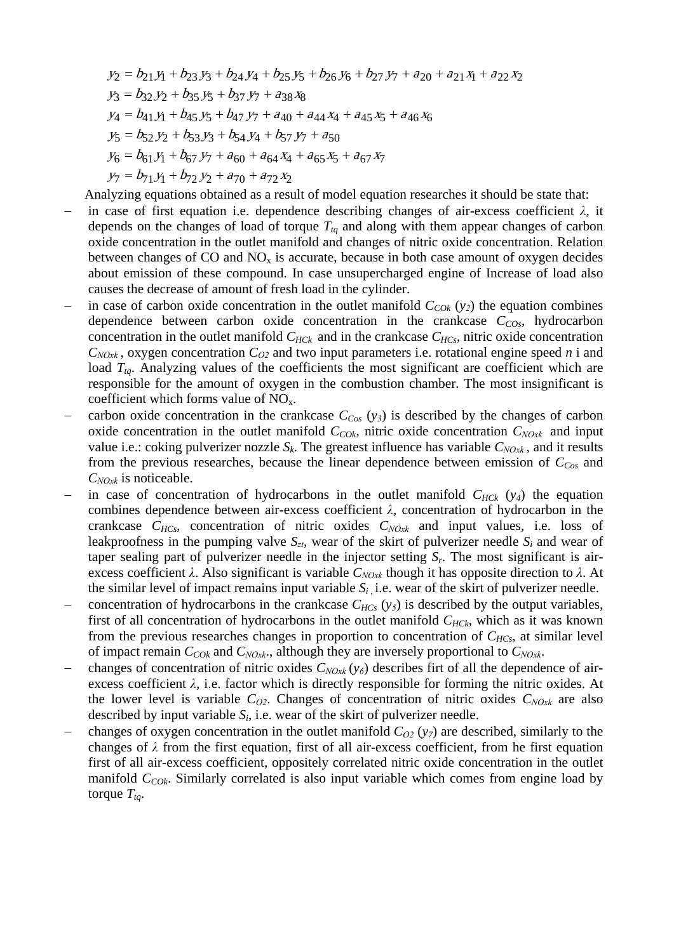$y_2 = b_{21} y_1 + b_{23} y_3 + b_{24} y_4 + b_{25} y_5 + b_{26} y_6 + b_{27} y_7 + a_{20} + a_{21} x_1 + a_{22} x_2$  $y_3 = b_{32} y_2 + b_{35} y_5 + b_{37} y_7 + a_{38} x_8$  $y_4 = b_{41} y_1 + b_{45} y_5 + b_{47} y_7 + a_{40} + a_{44} x_4 + a_{45} x_5 + a_{46} x_6$  $y_5 = b_{52} y_2 + b_{53} y_3 + b_{54} y_4 + b_{57} y_7 + a_{50}$  $y_6 = b_{61} y_1 + b_{67} y_7 + a_{60} + a_{64} x_4 + a_{65} x_5 + a_{67} x_7$  $y_7 = b_{71} y_1 + b_{72} y_2 + a_{70} + a_{72} x_2$ 

Analyzing equations obtained as a result of model equation researches it should be state that:

- in case of first equation i.e. dependence describing changes of air-excess coefficient  $\lambda$ , it depends on the changes of load of torque  $T_{tq}$  and along with them appear changes of carbon oxide concentration in the outlet manifold and changes of nitric oxide concentration. Relation between changes of CO and  $NO<sub>x</sub>$  is accurate, because in both case amount of oxygen decides about emission of these compound. In case unsupercharged engine of Increase of load also causes the decrease of amount of fresh load in the cylinder.
- in case of carbon oxide concentration in the outlet manifold  $C_{COk}$  ( $y_2$ ) the equation combines dependence between carbon oxide concentration in the crankcase  $C_{COs}$ , hydrocarbon concentration in the outlet manifold  $C_{HCK}$  and in the crankcase  $C_{HCs}$ , nitric oxide concentration  $C_{NOX}$ , oxygen concentration  $C_{O2}$  and two input parameters i.e. rotational engine speed *n* i and load  $T_{tq}$ . Analyzing values of the coefficients the most significant are coefficient which are responsible for the amount of oxygen in the combustion chamber. The most insignificant is coefficient which forms value of  $NO<sub>x</sub>$ .
- carbon oxide concentration in the crankcase  $C_{Cos}$  ( $y_3$ ) is described by the changes of carbon oxide concentration in the outlet manifold  $C_{COk}$ , nitric oxide concentration  $C_{NOxk}$  and input value i.e.: coking pulverizer nozzle  $S_k$ . The greatest influence has variable  $C_{NOX}$ , and it results from the previous researches, because the linear dependence between emission of *CCos* and *CNOxk* is noticeable.
- in case of concentration of hydrocarbons in the outlet manifold  $C_{HCK}$  ( $y_4$ ) the equation combines dependence between air-excess coefficient *λ*, concentration of hydrocarbon in the crankcase *CHCs*, concentration of nitric oxides *CNOxk* and input values, i.e. loss of leakproofness in the pumping valve  $S_{zt}$ , wear of the skirt of pulverizer needle  $S_i$  and wear of taper sealing part of pulverizer needle in the injector setting *Sr*. The most significant is airexcess coefficient *λ*. Also significant is variable *CNOxk* though it has opposite direction to *λ*. At the similar level of impact remains input variable  $S_i$  i.e. wear of the skirt of pulverizer needle.
- concentration of hydrocarbons in the crankcase  $C_{HCs}$  ( $y<sub>5</sub>$ ) is described by the output variables, first of all concentration of hydrocarbons in the outlet manifold  $C_{HCk}$ , which as it was known from the previous researches changes in proportion to concentration of  $C_{HCs}$ , at similar level of impact remain  $C_{COk}$  and  $C_{NOk}$ , although they are inversely proportional to  $C_{NOk}$ .
- − changes of concentration of nitric oxides *CNOxk* (*y6*) describes firt of all the dependence of airexcess coefficient  $\lambda$ , i.e. factor which is directly responsible for forming the nitric oxides. At the lower level is variable  $C_{Q2}$ . Changes of concentration of nitric oxides  $C_{NOxk}$  are also described by input variable  $S_i$ , i.e. wear of the skirt of pulverizer needle.
- − changes of oxygen concentration in the outlet manifold *CO2* (*y7*) are described, similarly to the changes of  $\lambda$  from the first equation, first of all air-excess coefficient, from he first equation first of all air-excess coefficient, oppositely correlated nitric oxide concentration in the outlet manifold *C<sub>COk</sub>*. Similarly correlated is also input variable which comes from engine load by torque  $T_{ta}$ .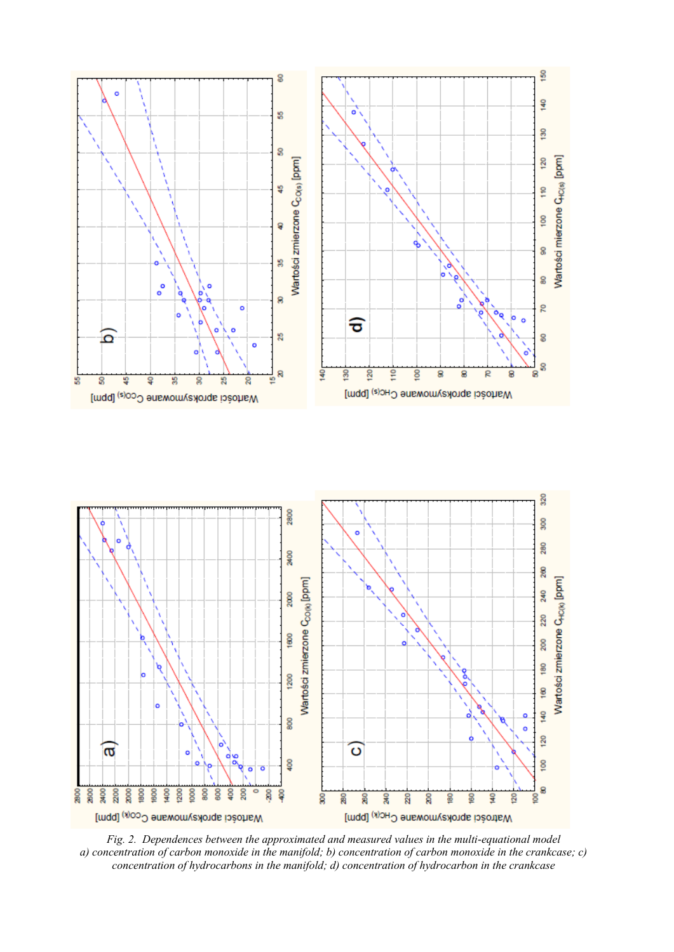

*Fig. 2. Dependences between the approximated and measured values in the multi-equational model a) concentration of carbon monoxide in the manifold; b) concentration of carbon monoxide in the crankcase; c) concentration of hydrocarbons in the manifold; d) concentration of hydrocarbon in the crankcase*